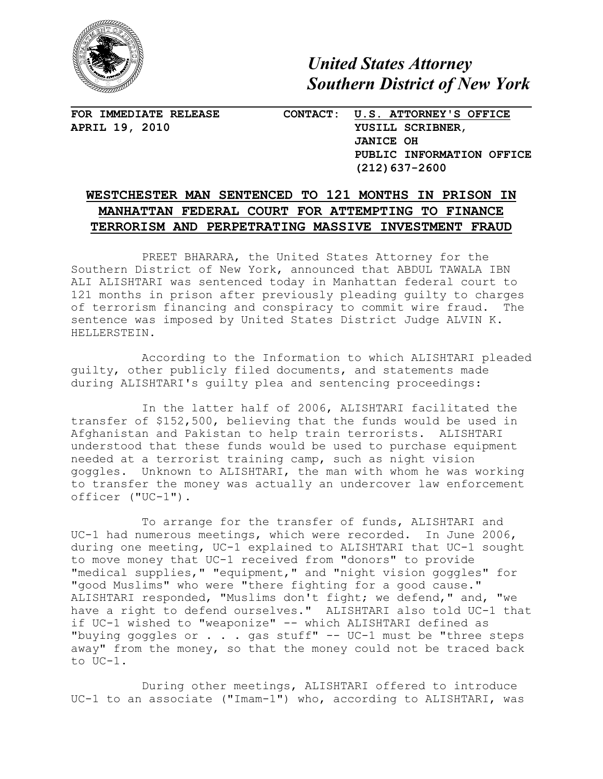

*United States Attorney Southern District of New York*

**FOR IMMEDIATE RELEASE CONTACT: U.S. ATTORNEY'S OFFICE APRIL 19, 2010 YUSILL SCRIBNER**, **JANICE OH PUBLIC INFORMATION OFFICE (212)637-2600**

## **WESTCHESTER MAN SENTENCED TO 121 MONTHS IN PRISON IN MANHATTAN FEDERAL COURT FOR ATTEMPTING TO FINANCE TERRORISM AND PERPETRATING MASSIVE INVESTMENT FRAUD**

PREET BHARARA, the United States Attorney for the Southern District of New York, announced that ABDUL TAWALA IBN ALI ALISHTARI was sentenced today in Manhattan federal court to 121 months in prison after previously pleading guilty to charges of terrorism financing and conspiracy to commit wire fraud. The sentence was imposed by United States District Judge ALVIN K. HELLERSTEIN.

According to the Information to which ALISHTARI pleaded guilty, other publicly filed documents, and statements made during ALISHTARI's guilty plea and sentencing proceedings:

In the latter half of 2006, ALISHTARI facilitated the transfer of \$152,500, believing that the funds would be used in Afghanistan and Pakistan to help train terrorists. ALISHTARI understood that these funds would be used to purchase equipment needed at a terrorist training camp, such as night vision goggles. Unknown to ALISHTARI, the man with whom he was working to transfer the money was actually an undercover law enforcement officer ("UC-1").

To arrange for the transfer of funds, ALISHTARI and UC-1 had numerous meetings, which were recorded. In June 2006, during one meeting, UC-1 explained to ALISHTARI that UC-1 sought to move money that UC-1 received from "donors" to provide "medical supplies," "equipment," and "night vision goggles" for "good Muslims" who were "there fighting for a good cause." ALISHTARI responded, "Muslims don't fight; we defend," and, "we have a right to defend ourselves." ALISHTARI also told UC-1 that if UC-1 wished to "weaponize" -- which ALISHTARI defined as "buying goggles or  $\ldots$  . gas stuff" -- UC-1 must be "three steps away" from the money, so that the money could not be traced back to UC-1.

During other meetings, ALISHTARI offered to introduce UC-1 to an associate ("Imam-1") who, according to ALISHTARI, was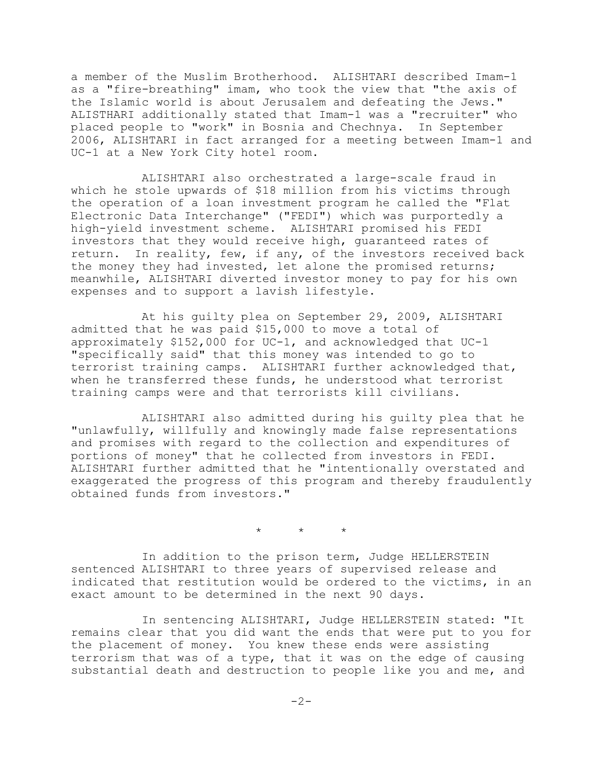a member of the Muslim Brotherhood. ALISHTARI described Imam-1 as a "fire-breathing" imam, who took the view that "the axis of the Islamic world is about Jerusalem and defeating the Jews." ALISTHARI additionally stated that Imam-1 was a "recruiter" who placed people to "work" in Bosnia and Chechnya. In September 2006, ALISHTARI in fact arranged for a meeting between Imam-1 and UC-1 at a New York City hotel room.

ALISHTARI also orchestrated a large-scale fraud in which he stole upwards of \$18 million from his victims through the operation of a loan investment program he called the "Flat Electronic Data Interchange" ("FEDI") which was purportedly a high-yield investment scheme. ALISHTARI promised his FEDI investors that they would receive high, guaranteed rates of return. In reality, few, if any, of the investors received back the money they had invested, let alone the promised returns; meanwhile, ALISHTARI diverted investor money to pay for his own expenses and to support a lavish lifestyle.

At his guilty plea on September 29, 2009, ALISHTARI admitted that he was paid \$15,000 to move a total of approximately \$152,000 for UC-1, and acknowledged that UC-1 "specifically said" that this money was intended to go to terrorist training camps. ALISHTARI further acknowledged that, when he transferred these funds, he understood what terrorist training camps were and that terrorists kill civilians.

ALISHTARI also admitted during his guilty plea that he "unlawfully, willfully and knowingly made false representations and promises with regard to the collection and expenditures of portions of money" that he collected from investors in FEDI. ALISHTARI further admitted that he "intentionally overstated and exaggerated the progress of this program and thereby fraudulently obtained funds from investors."

 $\star$   $\star$   $\star$ 

In addition to the prison term, Judge HELLERSTEIN sentenced ALISHTARI to three years of supervised release and indicated that restitution would be ordered to the victims, in an exact amount to be determined in the next 90 days.

In sentencing ALISHTARI, Judge HELLERSTEIN stated: "It remains clear that you did want the ends that were put to you for the placement of money. You knew these ends were assisting terrorism that was of a type, that it was on the edge of causing substantial death and destruction to people like you and me, and